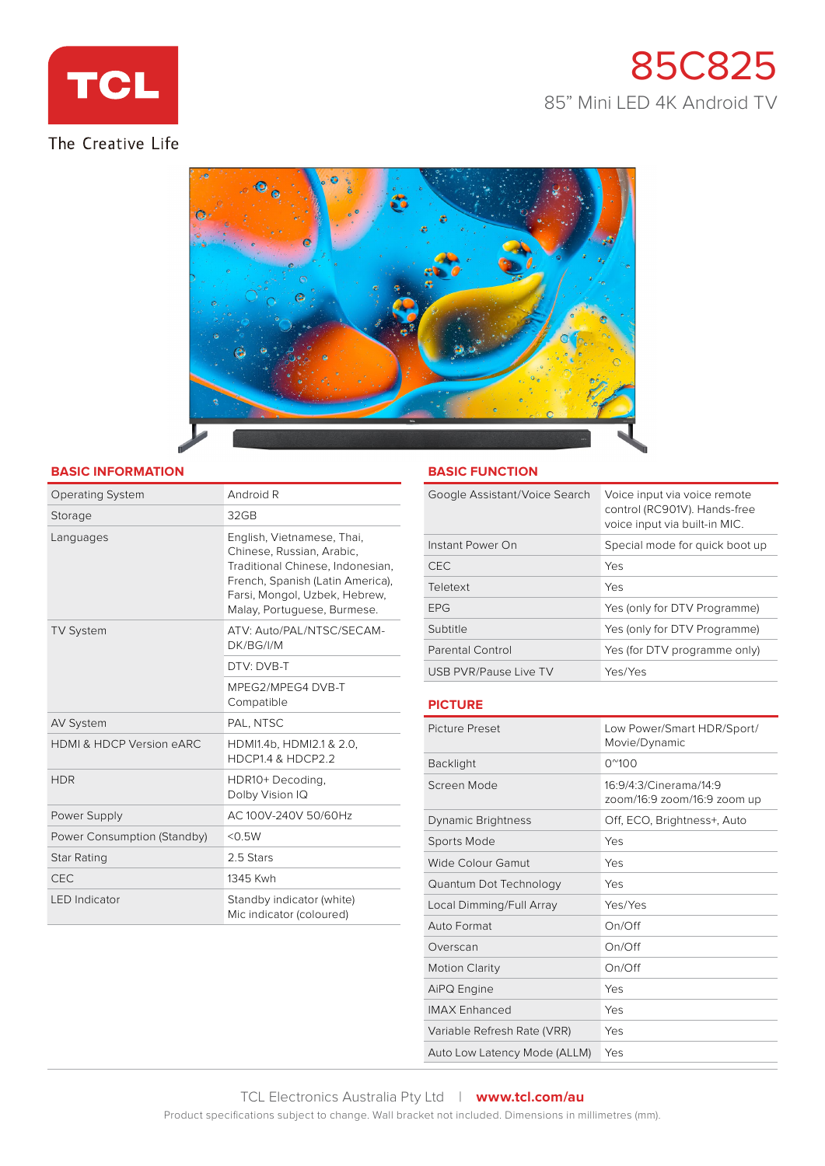

# The Creative Life

# 85C825 85" Mini LED 4K Android TV



#### **BASIC INFORMATION**

| <b>Operating System</b>             | Android R                                                                                                                                                                                       |
|-------------------------------------|-------------------------------------------------------------------------------------------------------------------------------------------------------------------------------------------------|
| Storage                             | 32GB                                                                                                                                                                                            |
| Languages                           | English, Vietnamese, Thai,<br>Chinese, Russian, Arabic,<br>Traditional Chinese, Indonesian,<br>French, Spanish (Latin America),<br>Farsi, Mongol, Uzbek, Hebrew,<br>Malay, Portuguese, Burmese. |
| <b>TV System</b>                    | ATV: Auto/PAL/NTSC/SECAM-<br>DK/BG/I/M                                                                                                                                                          |
|                                     | DTV: DVB-T                                                                                                                                                                                      |
|                                     | MPEG2/MPEG4 DVB-T<br>Compatible                                                                                                                                                                 |
| <b>AV System</b>                    | PAL, NTSC                                                                                                                                                                                       |
| <b>HDMI &amp; HDCP Version eARC</b> | HDMI1.4b, HDMI2.1 & 2.0,<br>HDCP1.4 & HDCP2.2                                                                                                                                                   |
| <b>HDR</b>                          | HDR10+Decoding,<br>Dolby Vision IQ                                                                                                                                                              |
| Power Supply                        | AC 100V-240V 50/60Hz                                                                                                                                                                            |
| Power Consumption (Standby)         | < 0.5W                                                                                                                                                                                          |
| Star Rating                         | 2.5 Stars                                                                                                                                                                                       |
| <b>CEC</b>                          | 1345 Kwh                                                                                                                                                                                        |
| <b>LED</b> Indicator                | Standby indicator (white)<br>Mic indicator (coloured)                                                                                                                                           |

#### **BASIC FUNCTION**

| Google Assistant/Voice Search | Voice input via voice remote<br>control (RC901V). Hands-free<br>voice input via built-in MIC. |
|-------------------------------|-----------------------------------------------------------------------------------------------|
| Instant Power On              | Special mode for quick boot up                                                                |
| <b>CEC</b>                    | Yes                                                                                           |
| Teletext                      | Yes                                                                                           |
| <b>FPG</b>                    | Yes (only for DTV Programme)                                                                  |
| Subtitle                      | Yes (only for DTV Programme)                                                                  |
| Parental Control              | Yes (for DTV programme only)                                                                  |
| USB PVR/Pause Live TV         | Yes/Yes                                                                                       |

## **PICTURE**

| Picture Preset               | Low Power/Smart HDR/Sport/<br>Movie/Dynamic           |
|------------------------------|-------------------------------------------------------|
| <b>Backlight</b>             | $0^{\prime\prime}100$                                 |
| Screen Mode                  | 16:9/4:3/Cinerama/14:9<br>zoom/16:9 zoom/16:9 zoom up |
| Dynamic Brightness           | Off, ECO, Brightness+, Auto                           |
| Sports Mode                  | Yes                                                   |
| Wide Colour Gamut            | Yes                                                   |
| Quantum Dot Technology       | Yes                                                   |
| Local Dimming/Full Array     | Yes/Yes                                               |
| Auto Format                  | On/Off                                                |
| Overscan                     | On/Off                                                |
| <b>Motion Clarity</b>        | On/Off                                                |
| AiPQ Engine                  | Yes                                                   |
| <b>IMAX Enhanced</b>         | Yes                                                   |
| Variable Refresh Rate (VRR)  | Yes                                                   |
| Auto Low Latency Mode (ALLM) | Yes                                                   |
|                              |                                                       |

Product specifications subject to change. Wall bracket not included. Dimensions in millimetres (mm).